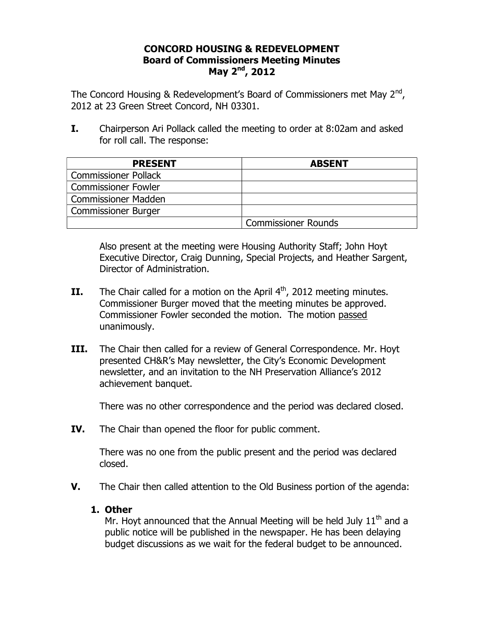## **CONCORD HOUSING & REDEVELOPMENT Board of Commissioners Meeting Minutes May 2nd, 2012**

The Concord Housing & Redevelopment's Board of Commissioners met May  $2^{nd}$ , 2012 at 23 Green Street Concord, NH 03301.

**I.** Chairperson Ari Pollack called the meeting to order at 8:02am and asked for roll call. The response:

| <b>PRESENT</b>              | <b>ABSENT</b>              |
|-----------------------------|----------------------------|
| <b>Commissioner Pollack</b> |                            |
| <b>Commissioner Fowler</b>  |                            |
| <b>Commissioner Madden</b>  |                            |
| <b>Commissioner Burger</b>  |                            |
|                             | <b>Commissioner Rounds</b> |

Also present at the meeting were Housing Authority Staff; John Hoyt Executive Director, Craig Dunning, Special Projects, and Heather Sargent, Director of Administration.

- **II.** The Chair called for a motion on the April  $4<sup>th</sup>$ , 2012 meeting minutes. Commissioner Burger moved that the meeting minutes be approved. Commissioner Fowler seconded the motion. The motion passed unanimously.
- **III.** The Chair then called for a review of General Correspondence. Mr. Hoyt presented CH&R's May newsletter, the City's Economic Development newsletter, and an invitation to the NH Preservation Alliance's 2012 achievement banquet.

There was no other correspondence and the period was declared closed.

**IV.** The Chair than opened the floor for public comment.

There was no one from the public present and the period was declared closed.

**V.** The Chair then called attention to the Old Business portion of the agenda:

## **1. Other**

Mr. Hoyt announced that the Annual Meeting will be held July  $11<sup>th</sup>$  and a public notice will be published in the newspaper. He has been delaying budget discussions as we wait for the federal budget to be announced.